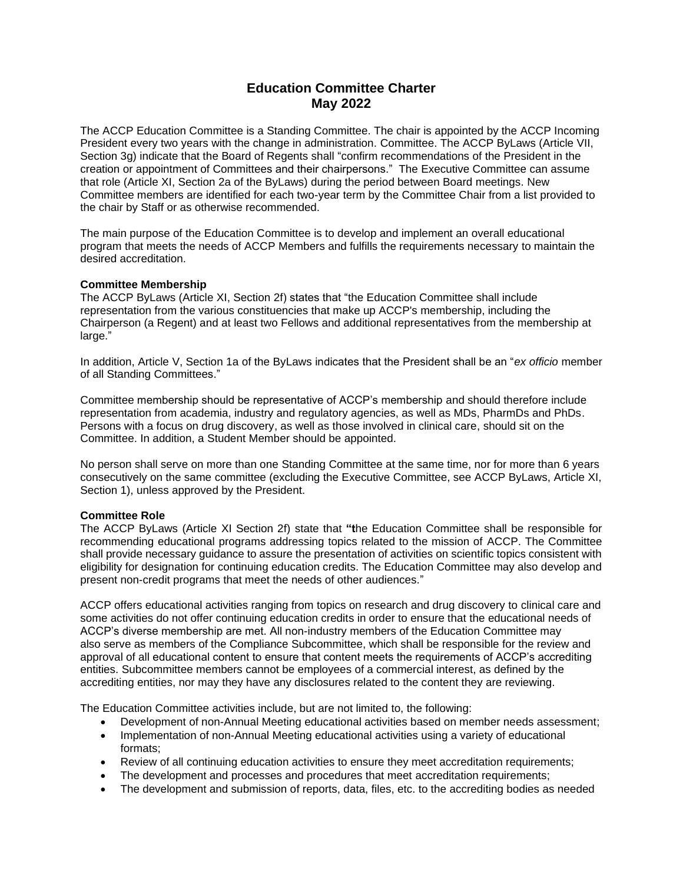# **Education Committee Charter May 2022**

The ACCP Education Committee is a Standing Committee. The chair is appointed by the ACCP Incoming President every two years with the change in administration. Committee. The ACCP ByLaws (Article VII, Section 3g) indicate that the Board of Regents shall "confirm recommendations of the President in the creation or appointment of Committees and their chairpersons." The Executive Committee can assume that role (Article XI, Section 2a of the ByLaws) during the period between Board meetings. New Committee members are identified for each two-year term by the Committee Chair from a list provided to the chair by Staff or as otherwise recommended.

The main purpose of the Education Committee is to develop and implement an overall educational program that meets the needs of ACCP Members and fulfills the requirements necessary to maintain the desired accreditation.

#### **Committee Membership**

The ACCP ByLaws (Article XI, Section 2f) states that "the Education Committee shall include representation from the various constituencies that make up ACCP's membership, including the Chairperson (a Regent) and at least two Fellows and additional representatives from the membership at large."

In addition, Article V, Section 1a of the ByLaws indicates that the President shall be an "*ex officio* member of all Standing Committees."

Committee membership should be representative of ACCP's membership and should therefore include representation from academia, industry and regulatory agencies, as well as MDs, PharmDs and PhDs. Persons with a focus on drug discovery, as well as those involved in clinical care, should sit on the Committee. In addition, a Student Member should be appointed.

No person shall serve on more than one Standing Committee at the same time, nor for more than 6 years consecutively on the same committee (excluding the Executive Committee, see ACCP ByLaws, Article XI, Section 1), unless approved by the President.

#### **Committee Role**

The ACCP ByLaws (Article XI Section 2f) state that **"t**he Education Committee shall be responsible for recommending educational programs addressing topics related to the mission of ACCP. The Committee shall provide necessary guidance to assure the presentation of activities on scientific topics consistent with eligibility for designation for continuing education credits. The Education Committee may also develop and present non-credit programs that meet the needs of other audiences."

ACCP offers educational activities ranging from topics on research and drug discovery to clinical care and some activities do not offer continuing education credits in order to ensure that the educational needs of ACCP's diverse membership are met. All non-industry members of the Education Committee may also serve as members of the Compliance Subcommittee, which shall be responsible for the review and approval of all educational content to ensure that content meets the requirements of ACCP's accrediting entities. Subcommittee members cannot be employees of a commercial interest, as defined by the accrediting entities, nor may they have any disclosures related to the content they are reviewing.

The Education Committee activities include, but are not limited to, the following:

- Development of non-Annual Meeting educational activities based on member needs assessment;
- Implementation of non-Annual Meeting educational activities using a variety of educational formats;
- Review of all continuing education activities to ensure they meet accreditation requirements;
- The development and processes and procedures that meet accreditation requirements;
- The development and submission of reports, data, files, etc. to the accrediting bodies as needed